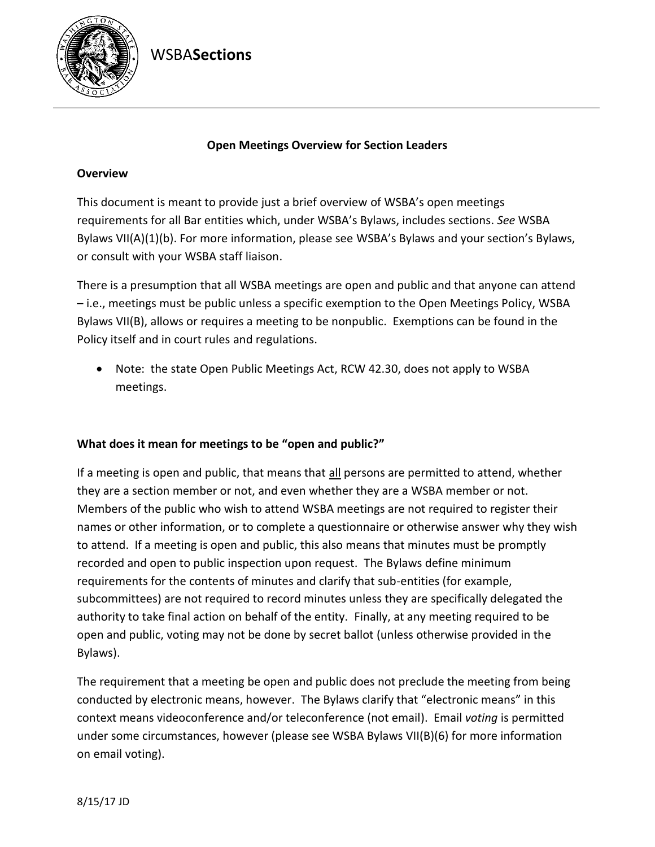WSBA**Sections**



### **Open Meetings Overview for Section Leaders**

## **Overview**

This document is meant to provide just a brief overview of WSBA's open meetings requirements for all Bar entities which, under WSBA's Bylaws, includes sections. *See* WSBA Bylaws VII(A)(1)(b). For more information, please see WSBA's Bylaws and your section's Bylaws, or consult with your WSBA staff liaison.

There is a presumption that all WSBA meetings are open and public and that anyone can attend – i.e., meetings must be public unless a specific exemption to the Open Meetings Policy, WSBA Bylaws VII(B), allows or requires a meeting to be nonpublic. Exemptions can be found in the Policy itself and in court rules and regulations.

• Note: the state Open Public Meetings Act, RCW 42.30, does not apply to WSBA meetings.

## **What does it mean for meetings to be "open and public?"**

If a meeting is open and public, that means that all persons are permitted to attend, whether they are a section member or not, and even whether they are a WSBA member or not. Members of the public who wish to attend WSBA meetings are not required to register their names or other information, or to complete a questionnaire or otherwise answer why they wish to attend. If a meeting is open and public, this also means that minutes must be promptly recorded and open to public inspection upon request. The Bylaws define minimum requirements for the contents of minutes and clarify that sub-entities (for example, subcommittees) are not required to record minutes unless they are specifically delegated the authority to take final action on behalf of the entity. Finally, at any meeting required to be open and public, voting may not be done by secret ballot (unless otherwise provided in the Bylaws).

The requirement that a meeting be open and public does not preclude the meeting from being conducted by electronic means, however. The Bylaws clarify that "electronic means" in this context means videoconference and/or teleconference (not email). Email *voting* is permitted under some circumstances, however (please see WSBA Bylaws VII(B)(6) for more information on email voting).